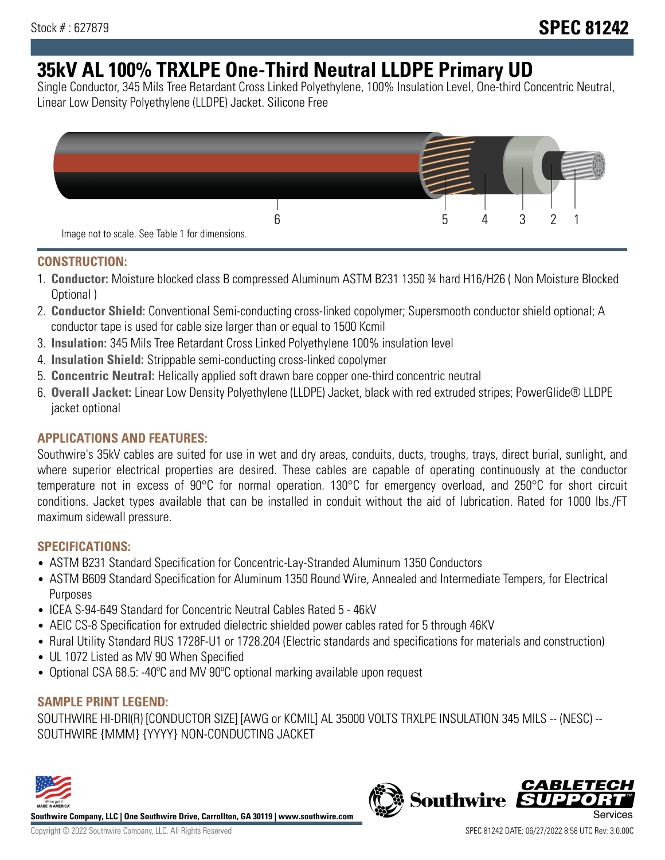# **35kV AL 100% TRXLPE One-Third Neutral LLDPE Primary UD**

Single Conductor, 345 Mils Tree Retardant Cross Linked Polyethylene, 100% Insulation Level, One-third Concentric Neutral, Linear Low Density Polyethylene (LLDPE) Jacket. Silicone Free



### **CONSTRUCTION:**

- 1. **Conductor:** Moisture blocked class B compressed Aluminum ASTM B231 1350 ¾ hard H16/H26 ( Non Moisture Blocked Optional )
- 2. **Conductor Shield:** Conventional Semi-conducting cross-linked copolymer; Supersmooth conductor shield optional; A conductor tape is used for cable size larger than or equal to 1500 Kcmil
- 3. **Insulation:** 345 Mils Tree Retardant Cross Linked Polyethylene 100% insulation level
- 4. **Insulation Shield:** Strippable semi-conducting cross-linked copolymer
- 5. **Concentric Neutral:** Helically applied soft drawn bare copper one-third concentric neutral
- 6. **Overall Jacket:** Linear Low Density Polyethylene (LLDPE) Jacket, black with red extruded stripes; PowerGlide® LLDPE jacket optional

## **APPLICATIONS AND FEATURES:**

Southwire's 35kV cables are suited for use in wet and dry areas, conduits, ducts, troughs, trays, direct burial, sunlight, and where superior electrical properties are desired. These cables are capable of operating continuously at the conductor temperature not in excess of 90°C for normal operation. 130°C for emergency overload, and 250°C for short circuit conditions. Jacket types available that can be installed in conduit without the aid of lubrication. Rated for 1000 lbs./FT maximum sidewall pressure.

## **SPECIFICATIONS:**

- ASTM B231 Standard Specification for Concentric-Lay-Stranded Aluminum 1350 Conductors
- ASTM B609 Standard Specification for Aluminum 1350 Round Wire, Annealed and Intermediate Tempers, for Electrical Purposes
- ICEA S-94-649 Standard for Concentric Neutral Cables Rated 5 46kV
- AEIC CS-8 Specification for extruded dielectric shielded power cables rated for 5 through 46KV
- Rural Utility Standard RUS 1728F-U1 or 1728.204 (Electric standards and specifications for materials and construction)
- UL 1072 Listed as MV 90 When Specified
- Optional CSA 68.5: -40ºC and MV 90ºC optional marking available upon request

## **SAMPLE PRINT LEGEND:**

SOUTHWIRE HI-DRI(R) [CONDUCTOR SIZE] [AWG or KCMIL] AL 35000 VOLTS TRXLPE INSULATION 345 MILS -- (NESC) -- SOUTHWIRE {MMM} {YYYY} NON-CONDUCTING JACKET



**Southwire Company, LLC | One Southwire Drive, Carrollton, GA 30119 | www.southwire.com**

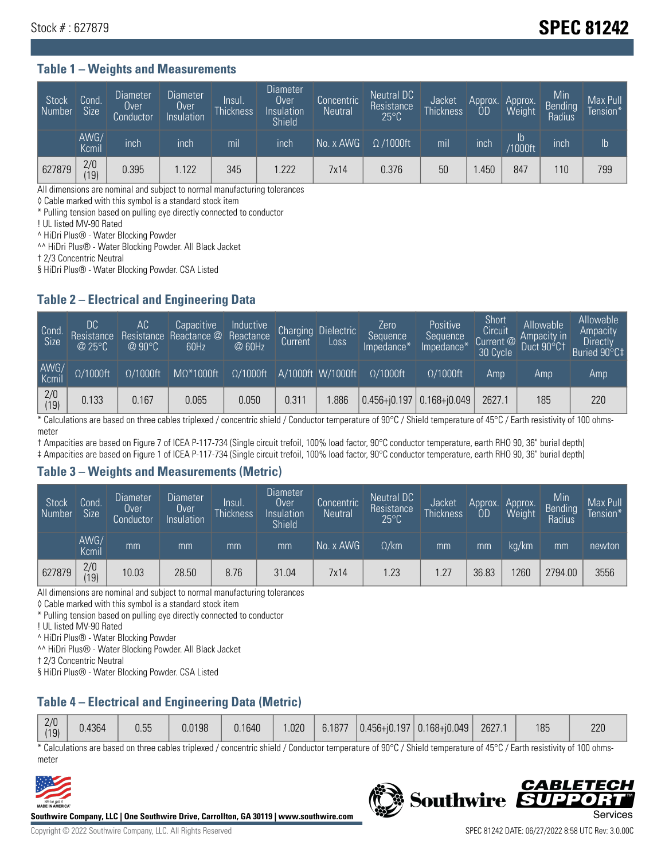## Stock # : 627879 **SPEC 81242**

#### **Table 1 – Weights and Measurements**

| Stock<br>Number | Cond.<br>Size <sup>1</sup> | <b>Diameter</b><br>Over<br>Conductor | <b>Diameter</b><br>Over<br>Insulation | <b>Insul</b><br><b>Thickness</b> | <b>Diameter</b><br>Over<br>Insulation<br>Shield | Concentric<br><b>Neutral</b> | Neutral DC<br>Resistance<br>$25^{\circ}$ C | Jacket<br><b>Thickness</b> | Approx.<br>0D | Approx.<br>Weight    | Min<br><b>Bending</b><br>Radius | Max Pull<br>Tension* |
|-----------------|----------------------------|--------------------------------------|---------------------------------------|----------------------------------|-------------------------------------------------|------------------------------|--------------------------------------------|----------------------------|---------------|----------------------|---------------------------------|----------------------|
|                 | AWG/<br>Kcmil              | inch                                 | inch                                  | m <sub>l</sub>                   | inch                                            | No. x AWG                    | $\Omega$ /1000ft                           | mil                        | inch          | Ib<br><b>Y1000ft</b> | inch                            | Ib                   |
| 627879          | 2/0<br>(19)                | 0.395                                | .122                                  | 345                              | 1.222                                           | 7x14                         | 0.376                                      | 50                         | .450          | 847                  | 110                             | 799                  |

All dimensions are nominal and subject to normal manufacturing tolerances

◊ Cable marked with this symbol is a standard stock item

\* Pulling tension based on pulling eye directly connected to conductor

! UL listed MV-90 Rated

^ HiDri Plus® - Water Blocking Powder

^^ HiDri Plus® - Water Blocking Powder. All Black Jacket

† 2/3 Concentric Neutral

§ HiDri Plus® - Water Blocking Powder. CSA Listed

#### **Table 2 – Electrical and Engineering Data**

| Cond.<br>Size         | 'DC.<br>Resistance<br>@25°C | АC<br>Resistance<br>$\varpi$ 90°C | Capacitive<br>Reactance @<br>60Hz | Inductive<br>Reactance<br>@ 60Hz | Charging<br>Current | <b>Dielectric</b><br>Loss | Zero<br>Sequence<br>Impedance* | <b>Positive</b><br>Sequence<br>Impedance <sup>®</sup> | Short<br>Circuit<br>Current <sup>@</sup><br>30 Cycle | Allowable<br>Ampacity in<br>Duct 90°C† | Allowable<br>Ampacity<br>Directly<br>Buried 90°C‡ |
|-----------------------|-----------------------------|-----------------------------------|-----------------------------------|----------------------------------|---------------------|---------------------------|--------------------------------|-------------------------------------------------------|------------------------------------------------------|----------------------------------------|---------------------------------------------------|
| AWG/<br>Kcmil         | $\Omega/1000$ ft            | $\Omega/1000$ ft                  | $M\Omega^*1000$ ft                | $\Omega/1000$ ft                 |                     | A/1000ft W/1000ft         | $\Omega/1000$ ft               | $\Omega$ /1000ft                                      | Amp                                                  | Amp                                    | Amp                                               |
| $\frac{2}{0}$<br>(19) | 0.133                       | 0.167                             | 0.065                             | 0.050                            | 0.311               | .886                      |                                | $0.456 + 0.197$ 0.168+ $0.049$                        | 2627.1                                               | 185                                    | 220                                               |

\* Calculations are based on three cables triplexed / concentric shield / Conductor temperature of 90°C / Shield temperature of 45°C / Earth resistivity of 100 ohmsmeter

† Ampacities are based on Figure 7 of ICEA P-117-734 (Single circuit trefoil, 100% load factor, 90°C conductor temperature, earth RHO 90, 36" burial depth)

‡ Ampacities are based on Figure 1 of ICEA P-117-734 (Single circuit trefoil, 100% load factor, 90°C conductor temperature, earth RHO 90, 36" burial depth)

#### **Table 3 – Weights and Measurements (Metric)**

| Stock<br>Number | Cond.<br>Size <sup>1</sup> | <b>Diameter</b><br><b>Over</b><br>Conductor | <b>Diameter</b><br><b>Over</b><br>Insulation | Insul.<br><b>Thickness</b> | <b>Diameter</b><br>Over<br>Insulation<br><b>Shield</b> | Concentric<br><b>Neutral</b> | Neutral DC<br>Resistance<br>$25^{\circ}$ C | Jacket<br><b>Thickness</b> | Approx.<br>OD | Approx.<br>Weight | Min<br>Bending<br>Radius | Max Pull<br>Tension* |
|-----------------|----------------------------|---------------------------------------------|----------------------------------------------|----------------------------|--------------------------------------------------------|------------------------------|--------------------------------------------|----------------------------|---------------|-------------------|--------------------------|----------------------|
|                 | AWG/<br>Kcmil              | mm                                          | mm                                           | mm                         | mm                                                     | No. x AWG                    | $\Omega$ /km                               | mm                         | mm            | ka/km             | mm                       | newton               |
| 627879          | 2/0<br>(19)                | 10.03                                       | 28.50                                        | 8.76                       | 31.04                                                  | 7x14                         | .23                                        | 1.27                       | 36.83         | 1260              | 2794.00                  | 3556                 |

All dimensions are nominal and subject to normal manufacturing tolerances

◊ Cable marked with this symbol is a standard stock item

\* Pulling tension based on pulling eye directly connected to conductor

! UL listed MV-90 Rated

^ HiDri Plus® - Water Blocking Powder

^^ HiDri Plus® - Water Blocking Powder. All Black Jacket

† 2/3 Concentric Neutral

§ HiDri Plus® - Water Blocking Powder. CSA Listed

## **Table 4 – Electrical and Engineering Data (Metric)**

|  | 2/0<br>(19) | J.4364 | 0.55 | 0.0198 | 0.1640 | .020 | 6.1877 |  | $\vert$ 0.456+j0.197 $\vert$ 0.168+j0.049 | 2627.1 | 185 | 220 |
|--|-------------|--------|------|--------|--------|------|--------|--|-------------------------------------------|--------|-----|-----|
|--|-------------|--------|------|--------|--------|------|--------|--|-------------------------------------------|--------|-----|-----|

\* Calculations are based on three cables triplexed / concentric shield / Conductor temperature of 90°C / Shield temperature of 45°C / Earth resistivity of 100 ohmsmeter



**Southwire Company, LLC | One Southwire Drive, Carrollton, GA 30119 | www.southwire.com**